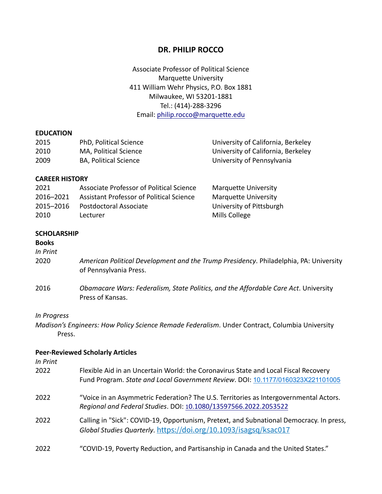# **DR. PHILIP ROCCO**

Associate Professor of Political Science Marquette University 411 William Wehr Physics, P.O. Box 1881 Milwaukee, WI 53201-1881 Tel.: (414)-288-3296 Email: philip.rocco@marquette.edu

#### **EDUCATION**

| 2015 | PhD, Political Science       | University of California, Berkeley |
|------|------------------------------|------------------------------------|
| 2010 | MA, Political Science        | University of California, Berkeley |
| 2009 | <b>BA, Political Science</b> | University of Pennsylvania         |

#### **CAREER HISTORY**

| 2021      | Associate Professor of Political Science | <b>Marquette University</b> |
|-----------|------------------------------------------|-----------------------------|
| 2016-2021 | Assistant Professor of Political Science | Marquette University        |
| 2015-2016 | Postdoctoral Associate                   | University of Pittsburgh    |
| 2010      | Lecturer                                 | Mills College               |

#### **SCHOLARSHIP**

#### **Books**

*In Print*

| 2020 | American Political Development and the Trump Presidency. Philadelphia, PA: University |
|------|---------------------------------------------------------------------------------------|
|      | of Pennsylvania Press.                                                                |

2016 *Obamacare Wars: Federalism, State Politics, and the Affordable Care Act*. University Press of Kansas.

#### *In Progress*

*Madison's Engineers: How Policy Science Remade Federalism*. Under Contract, Columbia University Press.

# **Peer-Reviewed Scholarly Articles**

*In Print* 

| 2022 | Flexible Aid in an Uncertain World: the Coronavirus State and Local Fiscal Recovery<br>Fund Program. State and Local Government Review. DOI: 10.1177/0160323X221101005 |
|------|------------------------------------------------------------------------------------------------------------------------------------------------------------------------|
| 2022 | "Voice in an Asymmetric Federation? The U.S. Territories as Intergovernmental Actors.<br>Regional and Federal Studies. DOI: 10.1080/13597566.2022.2053522              |
| 2022 | Calling in "Sick": COVID-19, Opportunism, Pretext, and Subnational Democracy. In press,<br>Global Studies Quarterly. https://doi.org/10.1093/isagsq/ksac017            |
| 2022 | "COVID-19, Poverty Reduction, and Partisanship in Canada and the United States."                                                                                       |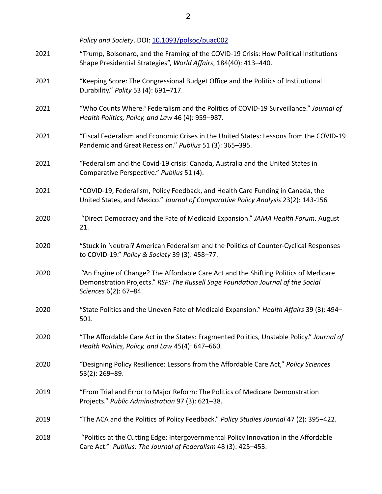Policy and Society. DOI: 10.1093/polsoc/puac002

| 2021 | "Trump, Bolsonaro, and the Framing of the COVID-19 Crisis: How Political Institutions<br>Shape Presidential Strategies", World Affairs, 184(40): 413-440.                                       |
|------|-------------------------------------------------------------------------------------------------------------------------------------------------------------------------------------------------|
| 2021 | "Keeping Score: The Congressional Budget Office and the Politics of Institutional<br>Durability." Polity 53 (4): 691-717.                                                                       |
| 2021 | "Who Counts Where? Federalism and the Politics of COVID-19 Surveillance." Journal of<br>Health Politics, Policy, and Law 46 (4): 959-987.                                                       |
| 2021 | "Fiscal Federalism and Economic Crises in the United States: Lessons from the COVID-19<br>Pandemic and Great Recession." Publius 51 (3): 365-395.                                               |
| 2021 | "Federalism and the Covid-19 crisis: Canada, Australia and the United States in<br>Comparative Perspective." Publius 51 (4).                                                                    |
| 2021 | "COVID-19, Federalism, Policy Feedback, and Health Care Funding in Canada, the<br>United States, and Mexico." Journal of Comparative Policy Analysis 23(2): 143-156                             |
| 2020 | "Direct Democracy and the Fate of Medicaid Expansion." JAMA Health Forum. August<br>21.                                                                                                         |
| 2020 | "Stuck in Neutral? American Federalism and the Politics of Counter-Cyclical Responses<br>to COVID-19." Policy & Society 39 (3): 458-77.                                                         |
| 2020 | "An Engine of Change? The Affordable Care Act and the Shifting Politics of Medicare<br>Demonstration Projects." RSF: The Russell Sage Foundation Journal of the Social<br>Sciences 6(2): 67-84. |
| 2020 | "State Politics and the Uneven Fate of Medicaid Expansion." Health Affairs 39 (3): 494-<br>501.                                                                                                 |
| 2020 | "The Affordable Care Act in the States: Fragmented Politics, Unstable Policy." Journal of<br>Health Politics, Policy, and Law 45(4): 647-660.                                                   |
| 2020 | "Designing Policy Resilience: Lessons from the Affordable Care Act," Policy Sciences<br>53(2): 269-89.                                                                                          |
| 2019 | "From Trial and Error to Major Reform: The Politics of Medicare Demonstration<br>Projects." Public Administration 97 (3): 621-38.                                                               |
| 2019 | "The ACA and the Politics of Policy Feedback." Policy Studies Journal 47 (2): 395-422.                                                                                                          |
| 2018 | "Politics at the Cutting Edge: Intergovernmental Policy Innovation in the Affordable<br>Care Act." Publius: The Journal of Federalism 48 (3): 425-453.                                          |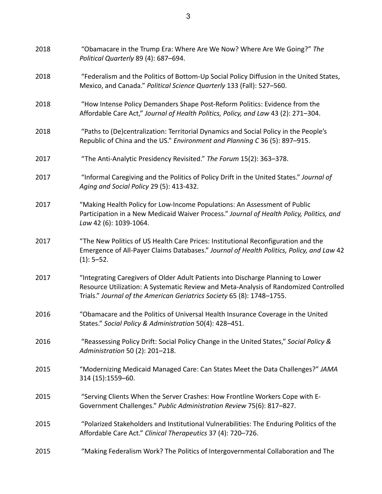| 2018 | "Obamacare in the Trump Era: Where Are We Now? Where Are We Going?" The<br>Political Quarterly 89 (4): 687-694.                                                                                                                                    |
|------|----------------------------------------------------------------------------------------------------------------------------------------------------------------------------------------------------------------------------------------------------|
| 2018 | "Federalism and the Politics of Bottom-Up Social Policy Diffusion in the United States,<br>Mexico, and Canada." Political Science Quarterly 133 (Fall): 527-560.                                                                                   |
| 2018 | "How Intense Policy Demanders Shape Post-Reform Politics: Evidence from the<br>Affordable Care Act," Journal of Health Politics, Policy, and Law 43 (2): 271-304.                                                                                  |
| 2018 | "Paths to (De)centralization: Territorial Dynamics and Social Policy in the People's<br>Republic of China and the US." Environment and Planning C 36 (5): 897-915.                                                                                 |
| 2017 | "The Anti-Analytic Presidency Revisited." The Forum 15(2): 363-378.                                                                                                                                                                                |
| 2017 | "Informal Caregiving and the Politics of Policy Drift in the United States." Journal of<br>Aging and Social Policy 29 (5): 413-432.                                                                                                                |
| 2017 | "Making Health Policy for Low-Income Populations: An Assessment of Public<br>Participation in a New Medicaid Waiver Process." Journal of Health Policy, Politics, and<br>Law 42 (6): 1039-1064.                                                    |
| 2017 | "The New Politics of US Health Care Prices: Institutional Reconfiguration and the<br>Emergence of All-Payer Claims Databases." Journal of Health Politics, Policy, and Law 42<br>$(1): 5-52.$                                                      |
| 2017 | "Integrating Caregivers of Older Adult Patients into Discharge Planning to Lower<br>Resource Utilization: A Systematic Review and Meta-Analysis of Randomized Controlled<br>Trials." Journal of the American Geriatrics Society 65 (8): 1748-1755. |
| 2016 | "Obamacare and the Politics of Universal Health Insurance Coverage in the United<br>States." Social Policy & Administration 50(4): 428-451.                                                                                                        |
| 2016 | "Reassessing Policy Drift: Social Policy Change in the United States," Social Policy &<br>Administration 50 (2): 201-218.                                                                                                                          |
| 2015 | "Modernizing Medicaid Managed Care: Can States Meet the Data Challenges?" JAMA<br>314 (15):1559-60.                                                                                                                                                |
| 2015 | "Serving Clients When the Server Crashes: How Frontline Workers Cope with E-<br>Government Challenges." Public Administration Review 75(6): 817-827.                                                                                               |
| 2015 | "Polarized Stakeholders and Institutional Vulnerabilities: The Enduring Politics of the<br>Affordable Care Act." Clinical Therapeutics 37 (4): 720-726.                                                                                            |
| 2015 | "Making Federalism Work? The Politics of Intergovernmental Collaboration and The                                                                                                                                                                   |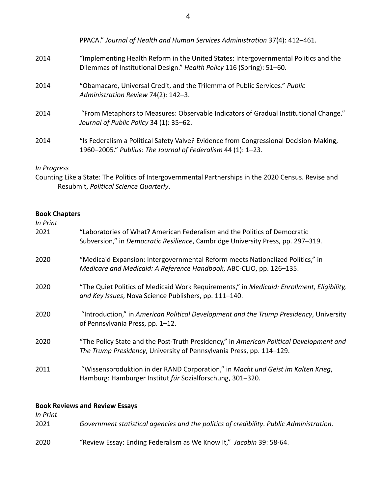|      | PPACA." Journal of Health and Human Services Administration 37(4): 412-461.                                                                                   |
|------|---------------------------------------------------------------------------------------------------------------------------------------------------------------|
| 2014 | "Implementing Health Reform in the United States: Intergovernmental Politics and the<br>Dilemmas of Institutional Design." Health Policy 116 (Spring): 51-60. |
| 2014 | "Obamacare, Universal Credit, and the Trilemma of Public Services." Public<br>Administration Review 74(2): 142-3.                                             |
| 2014 | "From Metaphors to Measures: Observable Indicators of Gradual Institutional Change."<br>Journal of Public Policy 34 (1): 35-62.                               |
| 2014 | "Is Federalism a Political Safety Valve? Evidence from Congressional Decision-Making,<br>1960-2005." Publius: The Journal of Federalism 44 (1): 1-23.         |

# *In Progress*

Counting Like a State: The Politics of Intergovernmental Partnerships in the 2020 Census. Revise and Resubmit, *Political Science Quarterly*.

# **Book Chapters**

| In Print<br>2021                      | "Laboratories of What? American Federalism and the Politics of Democratic                                                                                       |
|---------------------------------------|-----------------------------------------------------------------------------------------------------------------------------------------------------------------|
|                                       | Subversion," in Democratic Resilience, Cambridge University Press, pp. 297–319.                                                                                 |
| 2020                                  | "Medicaid Expansion: Intergovernmental Reform meets Nationalized Politics," in<br>Medicare and Medicaid: A Reference Handbook, ABC-CLIO, pp. 126-135.           |
| 2020                                  | "The Quiet Politics of Medicaid Work Requirements," in Medicaid: Enrollment, Eligibility,<br>and Key Issues, Nova Science Publishers, pp. 111-140.              |
| 2020                                  | "Introduction," in American Political Development and the Trump Presidency, University<br>of Pennsylvania Press, pp. 1-12.                                      |
| 2020                                  | "The Policy State and the Post-Truth Presidency," in American Political Development and<br>The Trump Presidency, University of Pennsylvania Press, pp. 114–129. |
| 2011                                  | "Wissensproduktion in der RAND Corporation," in Macht und Geist im Kalten Krieg,<br>Hamburg: Hamburger Institut für Sozialforschung, 301-320.                   |
| <b>Book Reviews and Review Essays</b> |                                                                                                                                                                 |

| In Print<br>2021 | Government statistical agencies and the politics of credibility. Public Administration. |
|------------------|-----------------------------------------------------------------------------------------|
| 2020             | "Review Essay: Ending Federalism as We Know It," Jacobin 39: 58-64.                     |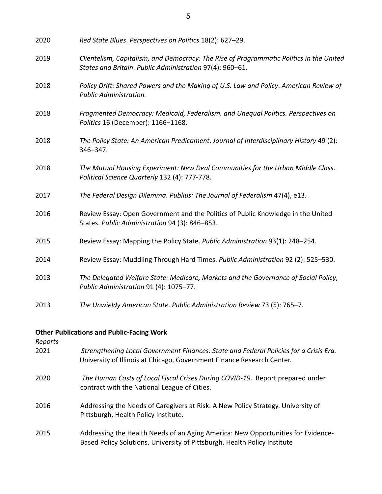| 2020 | Red State Blues. Perspectives on Politics 18(2): 627-29.                                                                                            |
|------|-----------------------------------------------------------------------------------------------------------------------------------------------------|
| 2019 | Clientelism, Capitalism, and Democracy: The Rise of Programmatic Politics in the United<br>States and Britain. Public Administration 97(4): 960-61. |
| 2018 | Policy Drift: Shared Powers and the Making of U.S. Law and Policy. American Review of<br>Public Administration.                                     |
| 2018 | Fragmented Democracy: Medicaid, Federalism, and Unequal Politics. Perspectives on<br>Politics 16 (December): 1166-1168.                             |
| 2018 | The Policy State: An American Predicament. Journal of Interdisciplinary History 49 (2):<br>346-347.                                                 |
| 2018 | The Mutual Housing Experiment: New Deal Communities for the Urban Middle Class.<br>Political Science Quarterly 132 (4): 777-778.                    |
| 2017 | The Federal Design Dilemma. Publius: The Journal of Federalism 47(4), e13.                                                                          |
| 2016 | Review Essay: Open Government and the Politics of Public Knowledge in the United<br>States. Public Administration 94 (3): 846-853.                  |
| 2015 | Review Essay: Mapping the Policy State. Public Administration 93(1): 248-254.                                                                       |
| 2014 | Review Essay: Muddling Through Hard Times. Public Administration 92 (2): 525-530.                                                                   |
| 2013 | The Delegated Welfare State: Medicare, Markets and the Governance of Social Policy,<br>Public Administration 91 (4): 1075-77.                       |
| 2013 | The Unwieldy American State. Public Administration Review 73 (5): 765-7.                                                                            |

# **Other Publications and Public-Facing Work**

| Reports |
|---------|
|---------|

| 2021 | Strengthening Local Government Finances: State and Federal Policies for a Crisis Era. |
|------|---------------------------------------------------------------------------------------|
|      | University of Illinois at Chicago, Government Finance Research Center.                |

- 2020 *The Human Costs of Local Fiscal Crises During COVID-19*. Report prepared under contract with the National League of Cities.
- 2016 Addressing the Needs of Caregivers at Risk: A New Policy Strategy. University of Pittsburgh, Health Policy Institute.
- 2015 Addressing the Health Needs of an Aging America: New Opportunities for Evidence-Based Policy Solutions. University of Pittsburgh, Health Policy Institute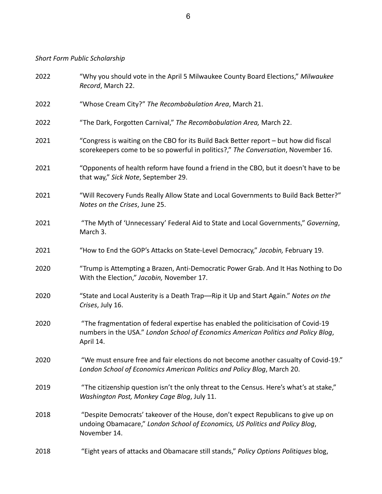*Short Form Public Scholarship* 

| 2022 | "Why you should vote in the April 5 Milwaukee County Board Elections," Milwaukee<br>Record, March 22.                                                                                 |
|------|---------------------------------------------------------------------------------------------------------------------------------------------------------------------------------------|
| 2022 | "Whose Cream City?" The Recombobulation Area, March 21.                                                                                                                               |
| 2022 | "The Dark, Forgotten Carnival," The Recombobulation Area, March 22.                                                                                                                   |
| 2021 | "Congress is waiting on the CBO for its Build Back Better report - but how did fiscal<br>scorekeepers come to be so powerful in politics?," The Conversation, November 16.            |
| 2021 | "Opponents of health reform have found a friend in the CBO, but it doesn't have to be<br>that way," Sick Note, September 29.                                                          |
| 2021 | "Will Recovery Funds Really Allow State and Local Governments to Build Back Better?"<br>Notes on the Crises, June 25.                                                                 |
| 2021 | "The Myth of 'Unnecessary' Federal Aid to State and Local Governments," Governing,<br>March 3.                                                                                        |
| 2021 | "How to End the GOP's Attacks on State-Level Democracy," Jacobin, February 19.                                                                                                        |
| 2020 | "Trump is Attempting a Brazen, Anti-Democratic Power Grab. And It Has Nothing to Do<br>With the Election," Jacobin, November 17.                                                      |
| 2020 | "State and Local Austerity is a Death Trap—Rip it Up and Start Again." Notes on the<br>Crises, July 16.                                                                               |
| 2020 | "The fragmentation of federal expertise has enabled the politicisation of Covid-19<br>numbers in the USA." London School of Economics American Politics and Policy Blog,<br>April 14. |
| 2020 | "We must ensure free and fair elections do not become another casualty of Covid-19."<br>London School of Economics American Politics and Policy Blog, March 20.                       |
| 2019 | "The citizenship question isn't the only threat to the Census. Here's what's at stake,"<br>Washington Post, Monkey Cage Blog, July 11.                                                |
| 2018 | "Despite Democrats' takeover of the House, don't expect Republicans to give up on<br>undoing Obamacare," London School of Economics, US Politics and Policy Blog,<br>November 14.     |
| 2018 | "Eight years of attacks and Obamacare still stands," Policy Options Politiques blog,                                                                                                  |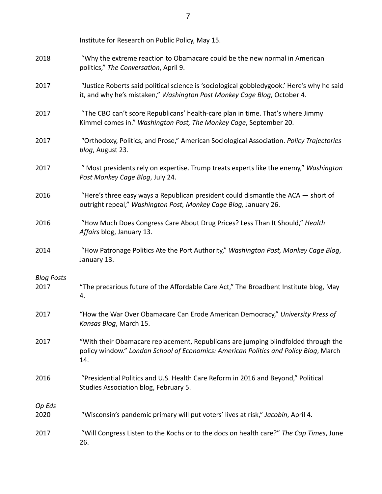|                   | Institute for Research on Public Policy, May 15.                                                                                                                                  |
|-------------------|-----------------------------------------------------------------------------------------------------------------------------------------------------------------------------------|
| 2018              | "Why the extreme reaction to Obamacare could be the new normal in American<br>politics," The Conversation, April 9.                                                               |
| 2017              | "Justice Roberts said political science is 'sociological gobbledygook.' Here's why he said<br>it, and why he's mistaken," Washington Post Monkey Cage Blog, October 4.            |
| 2017              | "The CBO can't score Republicans' health-care plan in time. That's where Jimmy<br>Kimmel comes in." Washington Post, The Monkey Cage, September 20.                               |
| 2017              | "Orthodoxy, Politics, and Prose," American Sociological Association. Policy Trajectories<br>blog, August 23.                                                                      |
| 2017              | " Most presidents rely on expertise. Trump treats experts like the enemy," Washington<br>Post Monkey Cage Blog, July 24.                                                          |
| 2016              | "Here's three easy ways a Republican president could dismantle the $ACA$ - short of<br>outright repeal," Washington Post, Monkey Cage Blog, January 26.                           |
| 2016              | "How Much Does Congress Care About Drug Prices? Less Than It Should," Health<br>Affairs blog, January 13.                                                                         |
| 2014              | "How Patronage Politics Ate the Port Authority," Washington Post, Monkey Cage Blog,<br>January 13.                                                                                |
| <b>Blog Posts</b> |                                                                                                                                                                                   |
| 2017              | "The precarious future of the Affordable Care Act," The Broadbent Institute blog, May<br>4.                                                                                       |
| 2017              | "How the War Over Obamacare Can Erode American Democracy," University Press of<br>Kansas Blog, March 15.                                                                          |
| 2017              | "With their Obamacare replacement, Republicans are jumping blindfolded through the<br>policy window." London School of Economics: American Politics and Policy Blog, March<br>14. |
| 2016              | "Presidential Politics and U.S. Health Care Reform in 2016 and Beyond," Political<br>Studies Association blog, February 5.                                                        |
| Op Eds<br>2020    | "Wisconsin's pandemic primary will put voters' lives at risk," Jacobin, April 4.                                                                                                  |
| 2017              | "Will Congress Listen to the Kochs or to the docs on health care?" The Cap Times, June<br>26.                                                                                     |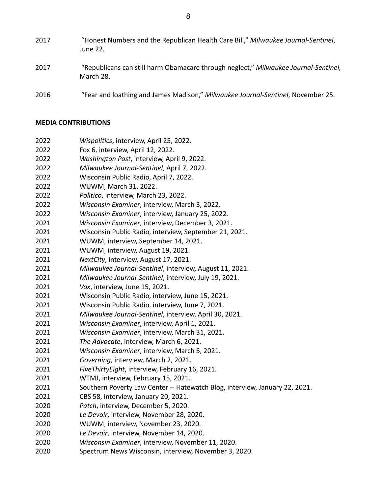- "Honest Numbers and the Republican Health Care Bill," *Milwaukee Journal-Sentinel*, June 22. "Republicans can still harm Obamacare through neglect," *Milwaukee Journal-Sentinel,* March 28.
- "Fear and loathing and James Madison," *Milwaukee Journal-Sentinel*, November 25.

#### **MEDIA CONTRIBUTIONS**

- *Wispolitics*, interview, April 25, 2022.
- Fox 6, interview, April 12, 2022.
- *Washington Post*, interview, April 9, 2022.
- *Milwaukee Journal-Sentinel*, April 7, 2022.
- Wisconsin Public Radio, April 7, 2022.
- WUWM, March 31, 2022.
- *Politico*, interview, March 23, 2022.
- *Wisconsin Examiner*, interview, March 3, 2022.
- *Wisconsin Examiner*, interview, January 25, 2022.
- *Wisconsin Examiner*, interview, December 3, 2021.
- Wisconsin Public Radio, interview, September 21, 2021.
- WUWM, interview, September 14, 2021.
- WUWM, interview, August 19, 2021.
- *NextCity*, interview, August 17, 2021.
- *Milwaukee Journal-Sentinel*, interview, August 11, 2021.
- *Milwaukee Journal-Sentinel*, interview, July 19, 2021.
- *Vox*, interview, June 15, 2021.
- Wisconsin Public Radio, interview, June 15, 2021.
- Wisconsin Public Radio, interview, June 7, 2021.
- *Milwaukee Journal-Sentinel*, interview, April 30, 2021.
- *Wisconsin Examiner*, interview, April 1, 2021.
- *Wisconsin Examiner*, interview, March 31, 2021.
- *The Advocate*, interview, March 6, 2021.
- *Wisconsin Examiner*, interview, March 5, 2021.
- *Governing*, interview, March 2, 2021.
- *FiveThirtyEight*, interview, February 16, 2021.
- WTMJ, interview, February 15, 2021.
- Southern Poverty Law Center -- Hatewatch Blog, interview, January 22, 2021.
- CBS 58, interview, January 20, 2021.
- *Patch*, interview, December 5, 2020.
- *Le Devoir*, interview, November 28, 2020.
- WUWM, interview, November 23, 2020.
- *Le Devoir*, interview, November 14, 2020.
- *Wisconsin Examiner*, interview, November 11, 2020.
- Spectrum News Wisconsin, interview, November 3, 2020.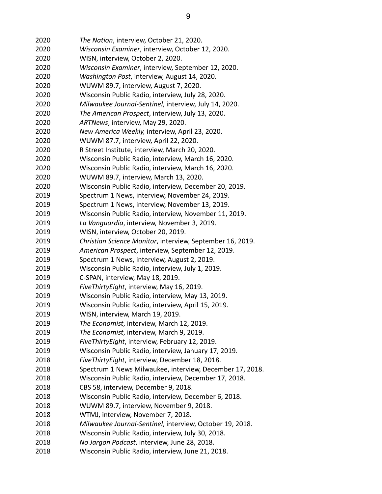| 2020 | The Nation, interview, October 21, 2020.                  |
|------|-----------------------------------------------------------|
| 2020 | Wisconsin Examiner, interview, October 12, 2020.          |
| 2020 | WISN, interview, October 2, 2020.                         |
| 2020 | Wisconsin Examiner, interview, September 12, 2020.        |
| 2020 | Washington Post, interview, August 14, 2020.              |
| 2020 | WUWM 89.7, interview, August 7, 2020.                     |
| 2020 | Wisconsin Public Radio, interview, July 28, 2020.         |
| 2020 | Milwaukee Journal-Sentinel, interview, July 14, 2020.     |
| 2020 | The American Prospect, interview, July 13, 2020.          |
| 2020 | ARTNews, interview, May 29, 2020.                         |
| 2020 | New America Weekly, interview, April 23, 2020.            |
| 2020 | WUWM 87.7, interview, April 22, 2020.                     |
| 2020 | R Street Institute, interview, March 20, 2020.            |
| 2020 | Wisconsin Public Radio, interview, March 16, 2020.        |
| 2020 | Wisconsin Public Radio, interview, March 16, 2020.        |
| 2020 | WUWM 89.7, interview, March 13, 2020.                     |
| 2020 | Wisconsin Public Radio, interview, December 20, 2019.     |
| 2019 | Spectrum 1 News, interview, November 24, 2019.            |
| 2019 | Spectrum 1 News, interview, November 13, 2019.            |
| 2019 | Wisconsin Public Radio, interview, November 11, 2019.     |
| 2019 | La Vanguardia, interview, November 3, 2019.               |
| 2019 | WISN, interview, October 20, 2019.                        |
| 2019 | Christian Science Monitor, interview, September 16, 2019. |
| 2019 | American Prospect, interview, September 12, 2019.         |
| 2019 | Spectrum 1 News, interview, August 2, 2019.               |
| 2019 | Wisconsin Public Radio, interview, July 1, 2019.          |
| 2019 | C-SPAN, interview, May 18, 2019.                          |
| 2019 | Five Thirty Eight, interview, May 16, 2019.               |
| 2019 | Wisconsin Public Radio, interview, May 13, 2019.          |
| 2019 | Wisconsin Public Radio, interview, April 15, 2019.        |
| 2019 | WISN, interview, March 19, 2019.                          |
| 2019 | The Economist, interview, March 12, 2019.                 |
| 2019 | The Economist, interview, March 9, 2019.                  |
| 2019 | Five Thirty Eight, interview, February 12, 2019.          |
| 2019 | Wisconsin Public Radio, interview, January 17, 2019.      |
| 2018 | FiveThirtyEight, interview, December 18, 2018.            |
| 2018 | Spectrum 1 News Milwaukee, interview, December 17, 2018.  |
| 2018 | Wisconsin Public Radio, interview, December 17, 2018.     |
| 2018 | CBS 58, interview, December 9, 2018.                      |
| 2018 | Wisconsin Public Radio, interview, December 6, 2018.      |
| 2018 | WUWM 89.7, interview, November 9, 2018.                   |
| 2018 | WTMJ, interview, November 7, 2018.                        |
| 2018 | Milwaukee Journal-Sentinel, interview, October 19, 2018.  |
| 2018 | Wisconsin Public Radio, interview, July 30, 2018.         |
| 2018 | No Jargon Podcast, interview, June 28, 2018.              |
| 2018 | Wisconsin Public Radio, interview, June 21, 2018.         |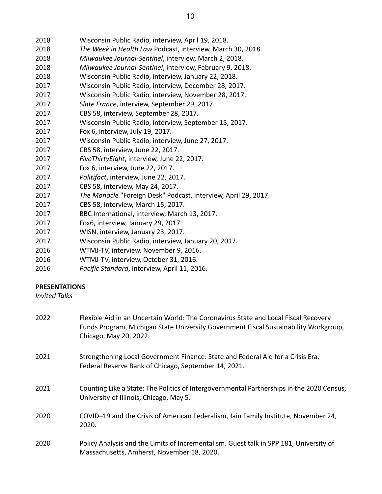- *The Week in Health Law* Podcast, interview, March 30, 2018.
- *Milwaukee Journal-Sentinel*, interview, March 2, 2018.
- *Milwaukee Journal-Sentinel*, interview, February 9, 2018.
- Wisconsin Public Radio, interview, January 22, 2018.
- Wisconsin Public Radio, interview, December 28, 2017.
- Wisconsin Public Radio, interview, November 28, 2017.
- *Slate France*, interview, September 29, 2017.
- CBS 58, interview, September 28, 2017.
- Wisconsin Public Radio, interview, September 15, 2017.
- Fox 6, interview, July 19, 2017.
- Wisconsin Public Radio, interview, June 27, 2017.
- CBS 58, interview, June 22, 2017.
- *FiveThirtyEight*, interview, June 22, 2017.
- Fox 6, interview, June 22, 2017.
- *Politifact*, interview, June 22, 2017.
- CBS 58, interview, May 24, 2017.
- *The Monocle* "Foreign Desk" Podcast, interview, April 29, 2017.
- CBS 58, interview, March 15, 2017.
- BBC International, interview, March 13, 2017.
- Fox6, interview, January 29, 2017.
- WISN, interview, January 23, 2017.
- Wisconsin Public Radio, interview, January 20, 2017.
- WTMJ-TV, interview, November 9, 2016.
- WTMJ-TV, interview, October 31, 2016.
- *Pacific Standard*, interview, April 11, 2016.

# **PRESENTATIONS**

*Invited Talks* 

| 2022 | Flexible Aid in an Uncertain World: The Coronavirus State and Local Fiscal Recovery<br>Funds Program, Michigan State University Government Fiscal Sustainability Workgroup,<br>Chicago, May 20, 2022. |
|------|-------------------------------------------------------------------------------------------------------------------------------------------------------------------------------------------------------|
| 2021 | Strengthening Local Government Finance: State and Federal Aid for a Crisis Era,<br>Federal Reserve Bank of Chicago, September 14, 2021.                                                               |
| 2021 | Counting Like a State: The Politics of Intergovernmental Partnerships in the 2020 Census,<br>University of Illinois, Chicago, May 5.                                                                  |
| 2020 | COVID-19 and the Crisis of American Federalism, Jain Family Institute, November 24,<br>2020.                                                                                                          |
| 2020 | Policy Analysis and the Limits of Incrementalism. Guest talk in SPP 181, University of<br>Massachusetts, Amherst, November 18, 2020.                                                                  |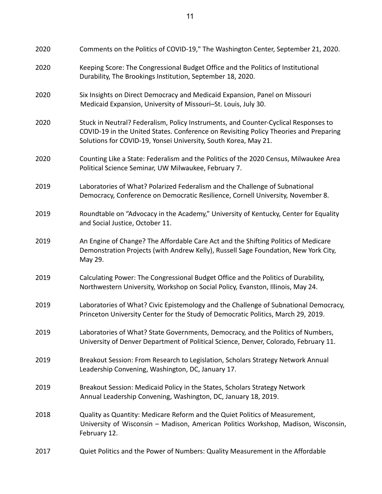| 2020 | Comments on the Politics of COVID-19," The Washington Center, September 21, 2020.                                                                                                                                                               |
|------|-------------------------------------------------------------------------------------------------------------------------------------------------------------------------------------------------------------------------------------------------|
| 2020 | Keeping Score: The Congressional Budget Office and the Politics of Institutional<br>Durability, The Brookings Institution, September 18, 2020.                                                                                                  |
| 2020 | Six Insights on Direct Democracy and Medicaid Expansion, Panel on Missouri<br>Medicaid Expansion, University of Missouri-St. Louis, July 30.                                                                                                    |
| 2020 | Stuck in Neutral? Federalism, Policy Instruments, and Counter-Cyclical Responses to<br>COVID-19 in the United States. Conference on Revisiting Policy Theories and Preparing<br>Solutions for COVID-19, Yonsei University, South Korea, May 21. |
| 2020 | Counting Like a State: Federalism and the Politics of the 2020 Census, Milwaukee Area<br>Political Science Seminar, UW Milwaukee, February 7.                                                                                                   |
| 2019 | Laboratories of What? Polarized Federalism and the Challenge of Subnational<br>Democracy, Conference on Democratic Resilience, Cornell University, November 8.                                                                                  |
| 2019 | Roundtable on "Advocacy in the Academy," University of Kentucky, Center for Equality<br>and Social Justice, October 11.                                                                                                                         |
| 2019 | An Engine of Change? The Affordable Care Act and the Shifting Politics of Medicare<br>Demonstration Projects (with Andrew Kelly), Russell Sage Foundation, New York City,<br>May 29.                                                            |
| 2019 | Calculating Power: The Congressional Budget Office and the Politics of Durability,<br>Northwestern University, Workshop on Social Policy, Evanston, Illinois, May 24.                                                                           |
| 2019 | Laboratories of What? Civic Epistemology and the Challenge of Subnational Democracy,<br>Princeton University Center for the Study of Democratic Politics, March 29, 2019.                                                                       |
| 2019 | Laboratories of What? State Governments, Democracy, and the Politics of Numbers,<br>University of Denver Department of Political Science, Denver, Colorado, February 11.                                                                        |
| 2019 | Breakout Session: From Research to Legislation, Scholars Strategy Network Annual<br>Leadership Convening, Washington, DC, January 17.                                                                                                           |
| 2019 | Breakout Session: Medicaid Policy in the States, Scholars Strategy Network<br>Annual Leadership Convening, Washington, DC, January 18, 2019.                                                                                                    |
| 2018 | Quality as Quantity: Medicare Reform and the Quiet Politics of Measurement,<br>University of Wisconsin - Madison, American Politics Workshop, Madison, Wisconsin,<br>February 12.                                                               |
| 2017 | Quiet Politics and the Power of Numbers: Quality Measurement in the Affordable                                                                                                                                                                  |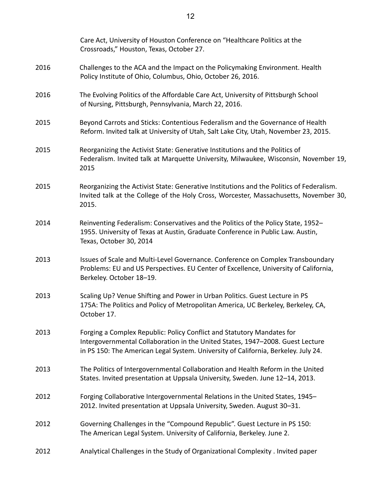|      | Care Act, University of Houston Conference on "Healthcare Politics at the<br>Crossroads," Houston, Texas, October 27.                                                                                                                          |
|------|------------------------------------------------------------------------------------------------------------------------------------------------------------------------------------------------------------------------------------------------|
| 2016 | Challenges to the ACA and the Impact on the Policymaking Environment. Health<br>Policy Institute of Ohio, Columbus, Ohio, October 26, 2016.                                                                                                    |
| 2016 | The Evolving Politics of the Affordable Care Act, University of Pittsburgh School<br>of Nursing, Pittsburgh, Pennsylvania, March 22, 2016.                                                                                                     |
| 2015 | Beyond Carrots and Sticks: Contentious Federalism and the Governance of Health<br>Reform. Invited talk at University of Utah, Salt Lake City, Utah, November 23, 2015.                                                                         |
| 2015 | Reorganizing the Activist State: Generative Institutions and the Politics of<br>Federalism. Invited talk at Marquette University, Milwaukee, Wisconsin, November 19,<br>2015                                                                   |
| 2015 | Reorganizing the Activist State: Generative Institutions and the Politics of Federalism.<br>Invited talk at the College of the Holy Cross, Worcester, Massachusetts, November 30,<br>2015.                                                     |
| 2014 | Reinventing Federalism: Conservatives and the Politics of the Policy State, 1952-<br>1955. University of Texas at Austin, Graduate Conference in Public Law. Austin,<br>Texas, October 30, 2014                                                |
| 2013 | Issues of Scale and Multi-Level Governance. Conference on Complex Transboundary<br>Problems: EU and US Perspectives. EU Center of Excellence, University of California,<br>Berkeley. October 18-19.                                            |
| 2013 | Scaling Up? Venue Shifting and Power in Urban Politics. Guest Lecture in PS<br>175A: The Politics and Policy of Metropolitan America, UC Berkeley, Berkeley, CA,<br>October 17.                                                                |
| 2013 | Forging a Complex Republic: Policy Conflict and Statutory Mandates for<br>Intergovernmental Collaboration in the United States, 1947-2008. Guest Lecture<br>in PS 150: The American Legal System. University of California, Berkeley. July 24. |
| 2013 | The Politics of Intergovernmental Collaboration and Health Reform in the United<br>States. Invited presentation at Uppsala University, Sweden. June 12-14, 2013.                                                                               |
| 2012 | Forging Collaborative Intergovernmental Relations in the United States, 1945-<br>2012. Invited presentation at Uppsala University, Sweden. August 30-31.                                                                                       |
| 2012 | Governing Challenges in the "Compound Republic". Guest Lecture in PS 150:<br>The American Legal System. University of California, Berkeley. June 2.                                                                                            |
| 2012 | Analytical Challenges in the Study of Organizational Complexity . Invited paper                                                                                                                                                                |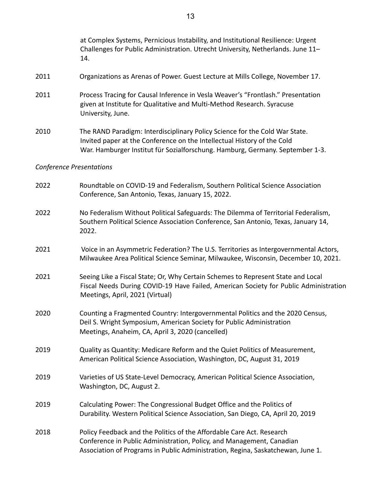|      | at Complex Systems, Pernicious Instability, and Institutional Resilience: Urgent<br>Challenges for Public Administration. Utrecht University, Netherlands. June 11-<br>14.                                                              |
|------|-----------------------------------------------------------------------------------------------------------------------------------------------------------------------------------------------------------------------------------------|
| 2011 | Organizations as Arenas of Power. Guest Lecture at Mills College, November 17.                                                                                                                                                          |
| 2011 | Process Tracing for Causal Inference in Vesla Weaver's "Frontlash." Presentation<br>given at Institute for Qualitative and Multi-Method Research. Syracuse<br>University, June.                                                         |
| 2010 | The RAND Paradigm: Interdisciplinary Policy Science for the Cold War State.<br>Invited paper at the Conference on the Intellectual History of the Cold<br>War. Hamburger Institut für Sozialforschung. Hamburg, Germany. September 1-3. |
|      | <b>Conference Presentations</b>                                                                                                                                                                                                         |
| 2022 | Roundtable on COVID-19 and Federalism, Southern Political Science Association<br>Conference, San Antonio, Texas, January 15, 2022.                                                                                                      |
| 2022 | No Federalism Without Political Safeguards: The Dilemma of Territorial Federalism,<br>Southern Political Science Association Conference, San Antonio, Texas, January 14,<br>2022.                                                       |
| 2021 | Voice in an Asymmetric Federation? The U.S. Territories as Intergovernmental Actors,<br>Milwaukee Area Political Science Seminar, Milwaukee, Wisconsin, December 10, 2021.                                                              |
| 2021 | Seeing Like a Fiscal State; Or, Why Certain Schemes to Represent State and Local<br>Fiscal Needs During COVID-19 Have Failed, American Society for Public Administration<br>Meetings, April, 2021 (Virtual)                             |
| 2020 | Counting a Fragmented Country: Intergovernmental Politics and the 2020 Census,<br>Deil S. Wright Symposium, American Society for Public Administration<br>Meetings, Anaheim, CA, April 3, 2020 (cancelled)                              |
| 2019 | Quality as Quantity: Medicare Reform and the Quiet Politics of Measurement,<br>American Political Science Association, Washington, DC, August 31, 2019                                                                                  |
| 2019 | Varieties of US State-Level Democracy, American Political Science Association,<br>Washington, DC, August 2.                                                                                                                             |
| 2019 | Calculating Power: The Congressional Budget Office and the Politics of<br>Durability. Western Political Science Association, San Diego, CA, April 20, 2019                                                                              |
| 2018 | Policy Feedback and the Politics of the Affordable Care Act. Research<br>Conference in Public Administration, Policy, and Management, Canadian<br>Association of Programs in Public Administration, Regina, Saskatchewan, June 1.       |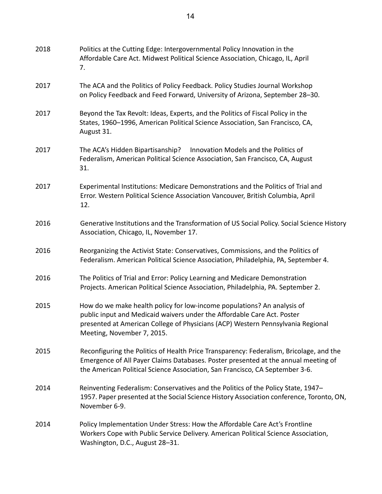| 2018 | Politics at the Cutting Edge: Intergovernmental Policy Innovation in the<br>Affordable Care Act. Midwest Political Science Association, Chicago, IL, April<br>7.                                                                                                    |
|------|---------------------------------------------------------------------------------------------------------------------------------------------------------------------------------------------------------------------------------------------------------------------|
| 2017 | The ACA and the Politics of Policy Feedback. Policy Studies Journal Workshop<br>on Policy Feedback and Feed Forward, University of Arizona, September 28-30.                                                                                                        |
| 2017 | Beyond the Tax Revolt: Ideas, Experts, and the Politics of Fiscal Policy in the<br>States, 1960-1996, American Political Science Association, San Francisco, CA,<br>August 31.                                                                                      |
| 2017 | The ACA's Hidden Bipartisanship?<br>Innovation Models and the Politics of<br>Federalism, American Political Science Association, San Francisco, CA, August<br>31.                                                                                                   |
| 2017 | Experimental Institutions: Medicare Demonstrations and the Politics of Trial and<br>Error. Western Political Science Association Vancouver, British Columbia, April<br>12.                                                                                          |
| 2016 | Generative Institutions and the Transformation of US Social Policy. Social Science History<br>Association, Chicago, IL, November 17.                                                                                                                                |
| 2016 | Reorganizing the Activist State: Conservatives, Commissions, and the Politics of<br>Federalism. American Political Science Association, Philadelphia, PA, September 4.                                                                                              |
| 2016 | The Politics of Trial and Error: Policy Learning and Medicare Demonstration<br>Projects. American Political Science Association, Philadelphia, PA. September 2.                                                                                                     |
| 2015 | How do we make health policy for low-income populations? An analysis of<br>public input and Medicaid waivers under the Affordable Care Act. Poster<br>presented at American College of Physicians (ACP) Western Pennsylvania Regional<br>Meeting, November 7, 2015. |
| 2015 | Reconfiguring the Politics of Health Price Transparency: Federalism, Bricolage, and the<br>Emergence of All Payer Claims Databases. Poster presented at the annual meeting of<br>the American Political Science Association, San Francisco, CA September 3-6.       |
| 2014 | Reinventing Federalism: Conservatives and the Politics of the Policy State, 1947-<br>1957. Paper presented at the Social Science History Association conference, Toronto, ON,<br>November 6-9.                                                                      |
| 2014 | Policy Implementation Under Stress: How the Affordable Care Act's Frontline<br>Workers Cope with Public Service Delivery. American Political Science Association,<br>Washington, D.C., August 28-31.                                                                |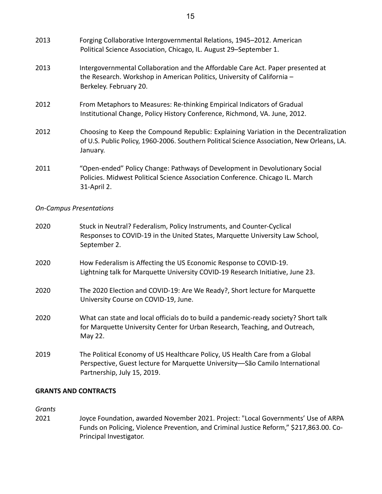| 2013 | Forging Collaborative Intergovernmental Relations, 1945-2012. American<br>Political Science Association, Chicago, IL. August 29-September 1.                                                   |
|------|------------------------------------------------------------------------------------------------------------------------------------------------------------------------------------------------|
| 2013 | Intergovernmental Collaboration and the Affordable Care Act. Paper presented at<br>the Research. Workshop in American Politics, University of California -<br>Berkeley. February 20.           |
| 2012 | From Metaphors to Measures: Re-thinking Empirical Indicators of Gradual<br>Institutional Change, Policy History Conference, Richmond, VA. June, 2012.                                          |
| 2012 | Choosing to Keep the Compound Republic: Explaining Variation in the Decentralization<br>of U.S. Public Policy, 1960-2006. Southern Political Science Association, New Orleans, LA.<br>January. |
| 2011 | "Open-ended" Policy Change: Pathways of Development in Devolutionary Social<br>Policies. Midwest Political Science Association Conference. Chicago IL. March<br>31-April 2.                    |

## *On-Campus Presentations*

| 2020 | Stuck in Neutral? Federalism, Policy Instruments, and Counter-Cyclical<br>Responses to COVID-19 in the United States, Marquette University Law School,<br>September 2.                     |
|------|--------------------------------------------------------------------------------------------------------------------------------------------------------------------------------------------|
| 2020 | How Federalism is Affecting the US Economic Response to COVID-19.<br>Lightning talk for Marquette University COVID-19 Research Initiative, June 23.                                        |
| 2020 | The 2020 Election and COVID-19: Are We Ready?, Short lecture for Marquette<br>University Course on COVID-19, June.                                                                         |
| 2020 | What can state and local officials do to build a pandemic-ready society? Short talk<br>for Marquette University Center for Urban Research, Teaching, and Outreach,<br>May 22.              |
| 2019 | The Political Economy of US Healthcare Policy, US Health Care from a Global<br>Perspective, Guest lecture for Marquette University-São Camilo International<br>Partnership, July 15, 2019. |

#### **GRANTS AND CONTRACTS**

*Grants*

2021 Joyce Foundation, awarded November 2021. Project: "Local Governments' Use of ARPA Funds on Policing, Violence Prevention, and Criminal Justice Reform," \$217,863.00. Co-Principal Investigator.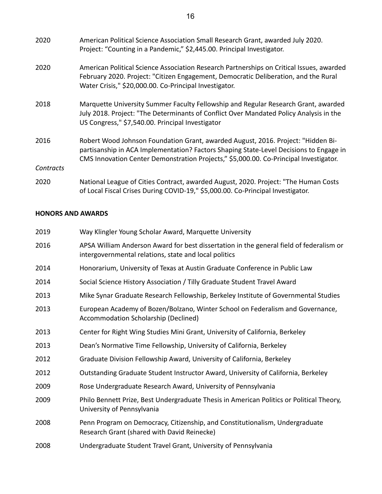| 2020      | American Political Science Association Small Research Grant, awarded July 2020.<br>Project: "Counting in a Pandemic," \$2,445.00. Principal Investigator.                                                                                                           |
|-----------|---------------------------------------------------------------------------------------------------------------------------------------------------------------------------------------------------------------------------------------------------------------------|
| 2020      | American Political Science Association Research Partnerships on Critical Issues, awarded<br>February 2020. Project: "Citizen Engagement, Democratic Deliberation, and the Rural<br>Water Crisis," \$20,000.00. Co-Principal Investigator.                           |
| 2018      | Marquette University Summer Faculty Fellowship and Regular Research Grant, awarded<br>July 2018. Project: "The Determinants of Conflict Over Mandated Policy Analysis in the<br>US Congress," \$7,540.00. Principal Investigator                                    |
| 2016      | Robert Wood Johnson Foundation Grant, awarded August, 2016. Project: "Hidden Bi-<br>partisanship in ACA Implementation? Factors Shaping State-Level Decisions to Engage in<br>CMS Innovation Center Demonstration Projects," \$5,000.00. Co-Principal Investigator. |
| Contracts |                                                                                                                                                                                                                                                                     |
| 2020      | National League of Cities Contract, awarded August, 2020. Project: "The Human Costs<br>of Local Fiscal Crises During COVID-19," \$5,000.00. Co-Principal Investigator.                                                                                              |

## **HONORS AND AWARDS**

| 2019 | Way Klingler Young Scholar Award, Marquette University                                                                                           |
|------|--------------------------------------------------------------------------------------------------------------------------------------------------|
| 2016 | APSA William Anderson Award for best dissertation in the general field of federalism or<br>intergovernmental relations, state and local politics |
| 2014 | Honorarium, University of Texas at Austin Graduate Conference in Public Law                                                                      |
| 2014 | Social Science History Association / Tilly Graduate Student Travel Award                                                                         |
| 2013 | Mike Synar Graduate Research Fellowship, Berkeley Institute of Governmental Studies                                                              |
| 2013 | European Academy of Bozen/Bolzano, Winter School on Federalism and Governance,<br>Accommodation Scholarship (Declined)                           |
| 2013 | Center for Right Wing Studies Mini Grant, University of California, Berkeley                                                                     |
| 2013 | Dean's Normative Time Fellowship, University of California, Berkeley                                                                             |
| 2012 | Graduate Division Fellowship Award, University of California, Berkeley                                                                           |
| 2012 | Outstanding Graduate Student Instructor Award, University of California, Berkeley                                                                |
| 2009 | Rose Undergraduate Research Award, University of Pennsylvania                                                                                    |
| 2009 | Philo Bennett Prize, Best Undergraduate Thesis in American Politics or Political Theory,<br>University of Pennsylvania                           |
| 2008 | Penn Program on Democracy, Citizenship, and Constitutionalism, Undergraduate<br>Research Grant (shared with David Reinecke)                      |
| 2008 | Undergraduate Student Travel Grant, University of Pennsylvania                                                                                   |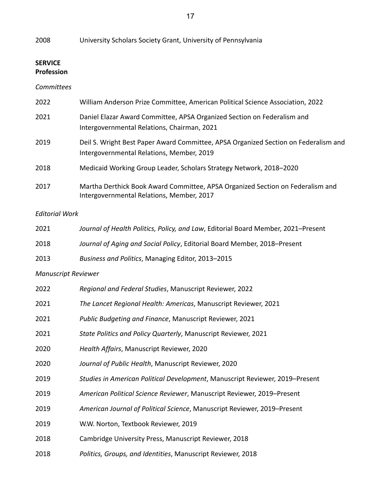University Scholars Society Grant, University of Pennsylvania

## **SERVICE Profession**

## *Committees*

| 2022 | William Anderson Prize Committee, American Political Science Association, 2022                                                   |
|------|----------------------------------------------------------------------------------------------------------------------------------|
| 2021 | Daniel Elazar Award Committee, APSA Organized Section on Federalism and<br>Intergovernmental Relations, Chairman, 2021           |
| 2019 | Deil S. Wright Best Paper Award Committee, APSA Organized Section on Federalism and<br>Intergovernmental Relations, Member, 2019 |
| 2018 | Medicaid Working Group Leader, Scholars Strategy Network, 2018–2020                                                              |
| 2017 | Martha Derthick Book Award Committee, APSA Organized Section on Federalism and<br>Intergovernmental Relations, Member, 2017      |

## *Editorial Work*

| 2021 | Journal of Health Politics, Policy, and Law, Editorial Board Member, 2021–Present |
|------|-----------------------------------------------------------------------------------|
| 2018 | Journal of Aging and Social Policy, Editorial Board Member, 2018–Present          |
| 2013 | Business and Politics, Managing Editor, 2013–2015                                 |

# *Manuscript Reviewer*

| 2022 | Regional and Federal Studies, Manuscript Reviewer, 2022                      |
|------|------------------------------------------------------------------------------|
| 2021 | The Lancet Regional Health: Americas, Manuscript Reviewer, 2021              |
| 2021 | Public Budgeting and Finance, Manuscript Reviewer, 2021                      |
| 2021 | State Politics and Policy Quarterly, Manuscript Reviewer, 2021               |
| 2020 | Health Affairs, Manuscript Reviewer, 2020                                    |
| 2020 | Journal of Public Health, Manuscript Reviewer, 2020                          |
| 2019 | Studies in American Political Development, Manuscript Reviewer, 2019–Present |
| 2019 | American Political Science Reviewer, Manuscript Reviewer, 2019–Present       |
| 2019 | American Journal of Political Science, Manuscript Reviewer, 2019-Present     |
| 2019 | W.W. Norton, Textbook Reviewer, 2019                                         |
| 2018 | Cambridge University Press, Manuscript Reviewer, 2018                        |
| 2018 | Politics, Groups, and Identities, Manuscript Reviewer, 2018                  |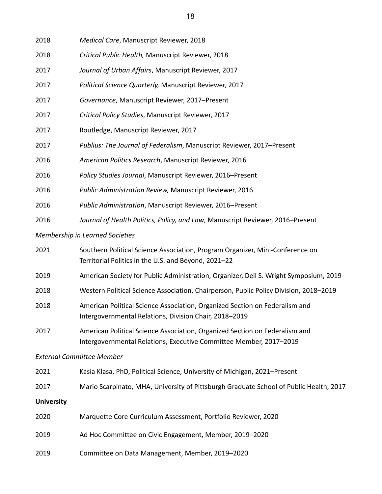| 2018                                   | Medical Care, Manuscript Reviewer, 2018                                        |  |
|----------------------------------------|--------------------------------------------------------------------------------|--|
| 2018                                   | Critical Public Health, Manuscript Reviewer, 2018                              |  |
| 2017                                   | Journal of Urban Affairs, Manuscript Reviewer, 2017                            |  |
| 2017                                   | Political Science Quarterly, Manuscript Reviewer, 2017                         |  |
| 2017                                   | Governance, Manuscript Reviewer, 2017-Present                                  |  |
| 2017                                   | Critical Policy Studies, Manuscript Reviewer, 2017                             |  |
| 2017                                   | Routledge, Manuscript Reviewer, 2017                                           |  |
| 2017                                   | Publius: The Journal of Federalism, Manuscript Reviewer, 2017-Present          |  |
| 2016                                   | American Politics Research, Manuscript Reviewer, 2016                          |  |
| 2016                                   | Policy Studies Journal, Manuscript Reviewer, 2016-Present                      |  |
| 2016                                   | Public Administration Review, Manuscript Reviewer, 2016                        |  |
| 2016                                   | Public Administration, Manuscript Reviewer, 2016-Present                       |  |
| 2016                                   | Journal of Health Politics, Policy, and Law, Manuscript Reviewer, 2016-Present |  |
| <b>Membership in Learned Societies</b> |                                                                                |  |
| วกวา                                   | Couthern Political Science Association, Program Organizer, Mini Conference on  |  |

| 2021 | Southern Political Science Association, Program Organizer, Mini-Conference on |
|------|-------------------------------------------------------------------------------|
|      | Territorial Politics in the U.S. and Beyond, 2021-22                          |

- American Society for Public Administration, Organizer, Deil S. Wright Symposium, 2019
- Western Political Science Association, Chairperson, Public Policy Division, 2018–2019
- American Political Science Association, Organized Section on Federalism and Intergovernmental Relations, Division Chair, 2018–2019
- American Political Science Association, Organized Section on Federalism and Intergovernmental Relations, Executive Committee Member, 2017–2019

#### *External Committee Member*

- Kasia Klasa, PhD, Political Science, University of Michigan, 2021–Present
- Mario Scarpinato, MHA, University of Pittsburgh Graduate School of Public Health, 2017

#### **University**

- Marquette Core Curriculum Assessment, Portfolio Reviewer, 2020
- Ad Hoc Committee on Civic Engagement, Member, 2019–2020
- Committee on Data Management, Member, 2019–2020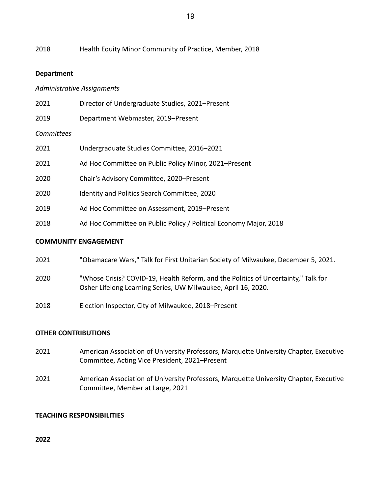Health Equity Minor Community of Practice, Member, 2018

### **Department**

### *Administrative Assignments*

| 2021       | Director of Undergraduate Studies, 2021–Present                   |
|------------|-------------------------------------------------------------------|
| 2019       | Department Webmaster, 2019–Present                                |
| Committees |                                                                   |
| 2021       | Undergraduate Studies Committee, 2016-2021                        |
| 2021       | Ad Hoc Committee on Public Policy Minor, 2021–Present             |
| 2020       | Chair's Advisory Committee, 2020–Present                          |
| 2020       | <b>Identity and Politics Search Committee, 2020</b>               |
| 2019       | Ad Hoc Committee on Assessment, 2019–Present                      |
| 2018       | Ad Hoc Committee on Public Policy / Political Economy Major, 2018 |
|            |                                                                   |

#### **COMMUNITY ENGAGEMENT**

| 2021 |  | "Obamacare Wars," Talk for First Unitarian Society of Milwaukee, December 5, 2021. |  |  |
|------|--|------------------------------------------------------------------------------------|--|--|
|------|--|------------------------------------------------------------------------------------|--|--|

- "Whose Crisis? COVID-19, Health Reform, and the Politics of Uncertainty," Talk for Osher Lifelong Learning Series, UW Milwaukee, April 16, 2020.
- Election Inspector, City of Milwaukee, 2018–Present

#### **OTHER CONTRIBUTIONS**

- American Association of University Professors, Marquette University Chapter, Executive Committee, Acting Vice President, 2021–Present
- American Association of University Professors, Marquette University Chapter, Executive Committee, Member at Large, 2021

## **TEACHING RESPONSIBILITIES**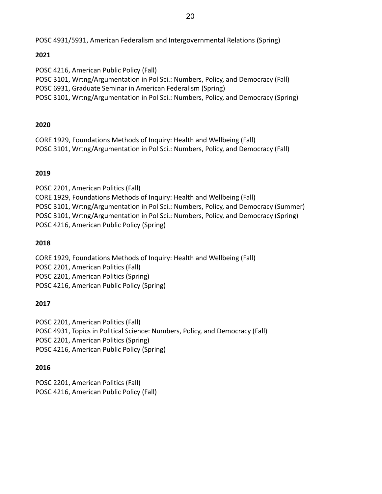POSC 4931/5931, American Federalism and Intergovernmental Relations (Spring)

# **2021**

POSC 4216, American Public Policy (Fall) POSC 3101, Wrtng/Argumentation in Pol Sci.: Numbers, Policy, and Democracy (Fall) POSC 6931, Graduate Seminar in American Federalism (Spring) POSC 3101, Wrtng/Argumentation in Pol Sci.: Numbers, Policy, and Democracy (Spring)

# **2020**

CORE 1929, Foundations Methods of Inquiry: Health and Wellbeing (Fall) POSC 3101, Wrtng/Argumentation in Pol Sci.: Numbers, Policy, and Democracy (Fall)

# **2019**

POSC 2201, American Politics (Fall) CORE 1929, Foundations Methods of Inquiry: Health and Wellbeing (Fall) POSC 3101, Wrtng/Argumentation in Pol Sci.: Numbers, Policy, and Democracy (Summer) POSC 3101, Wrtng/Argumentation in Pol Sci.: Numbers, Policy, and Democracy (Spring) POSC 4216, American Public Policy (Spring)

## **2018**

CORE 1929, Foundations Methods of Inquiry: Health and Wellbeing (Fall) POSC 2201, American Politics (Fall) POSC 2201, American Politics (Spring) POSC 4216, American Public Policy (Spring)

## **2017**

POSC 2201, American Politics (Fall) POSC 4931, Topics in Political Science: Numbers, Policy, and Democracy (Fall) POSC 2201, American Politics (Spring) POSC 4216, American Public Policy (Spring)

## **2016**

POSC 2201, American Politics (Fall) POSC 4216, American Public Policy (Fall)